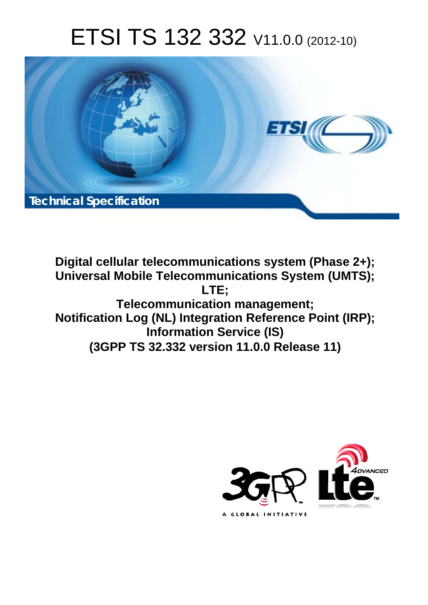# ETSI TS 132 332 V11.0.0 (2012-10)



**Digital cellular telecommunications system (Phase 2+); Universal Mobile Telecommunications System (UMTS); LTE; Telecommunication management; Notification Log (NL) Integration Reference Point (IRP); Information Service (IS) (3GPP TS 32.332 version 11.0.0 Release 11)** 

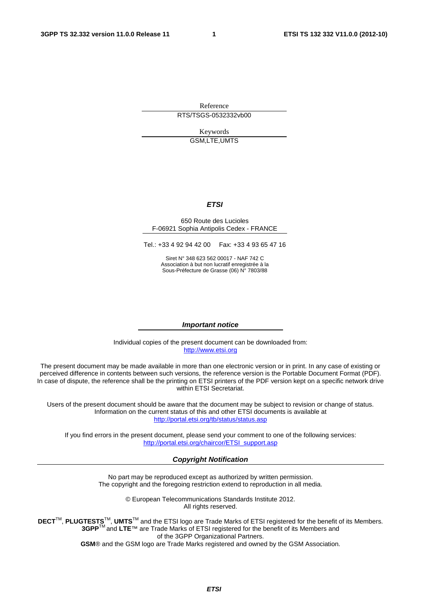Reference RTS/TSGS-0532332vb00

> Keywords GSM,LTE,UMTS

#### *ETSI*

#### 650 Route des Lucioles F-06921 Sophia Antipolis Cedex - FRANCE

Tel.: +33 4 92 94 42 00 Fax: +33 4 93 65 47 16

Siret N° 348 623 562 00017 - NAF 742 C Association à but non lucratif enregistrée à la Sous-Préfecture de Grasse (06) N° 7803/88

#### *Important notice*

Individual copies of the present document can be downloaded from: [http://www.etsi.org](http://www.etsi.org/)

The present document may be made available in more than one electronic version or in print. In any case of existing or perceived difference in contents between such versions, the reference version is the Portable Document Format (PDF). In case of dispute, the reference shall be the printing on ETSI printers of the PDF version kept on a specific network drive within ETSI Secretariat.

Users of the present document should be aware that the document may be subject to revision or change of status. Information on the current status of this and other ETSI documents is available at <http://portal.etsi.org/tb/status/status.asp>

If you find errors in the present document, please send your comment to one of the following services: [http://portal.etsi.org/chaircor/ETSI\\_support.asp](http://portal.etsi.org/chaircor/ETSI_support.asp)

#### *Copyright Notification*

No part may be reproduced except as authorized by written permission. The copyright and the foregoing restriction extend to reproduction in all media.

> © European Telecommunications Standards Institute 2012. All rights reserved.

DECT<sup>™</sup>, PLUGTESTS<sup>™</sup>, UMTS<sup>™</sup> and the ETSI logo are Trade Marks of ETSI registered for the benefit of its Members. **3GPP**TM and **LTE**™ are Trade Marks of ETSI registered for the benefit of its Members and of the 3GPP Organizational Partners.

**GSM**® and the GSM logo are Trade Marks registered and owned by the GSM Association.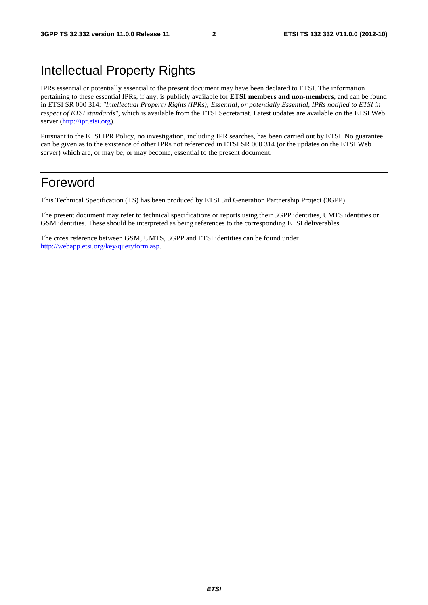# Intellectual Property Rights

IPRs essential or potentially essential to the present document may have been declared to ETSI. The information pertaining to these essential IPRs, if any, is publicly available for **ETSI members and non-members**, and can be found in ETSI SR 000 314: *"Intellectual Property Rights (IPRs); Essential, or potentially Essential, IPRs notified to ETSI in respect of ETSI standards"*, which is available from the ETSI Secretariat. Latest updates are available on the ETSI Web server ([http://ipr.etsi.org\)](http://webapp.etsi.org/IPR/home.asp).

Pursuant to the ETSI IPR Policy, no investigation, including IPR searches, has been carried out by ETSI. No guarantee can be given as to the existence of other IPRs not referenced in ETSI SR 000 314 (or the updates on the ETSI Web server) which are, or may be, or may become, essential to the present document.

# Foreword

This Technical Specification (TS) has been produced by ETSI 3rd Generation Partnership Project (3GPP).

The present document may refer to technical specifications or reports using their 3GPP identities, UMTS identities or GSM identities. These should be interpreted as being references to the corresponding ETSI deliverables.

The cross reference between GSM, UMTS, 3GPP and ETSI identities can be found under [http://webapp.etsi.org/key/queryform.asp.](http://webapp.etsi.org/key/queryform.asp)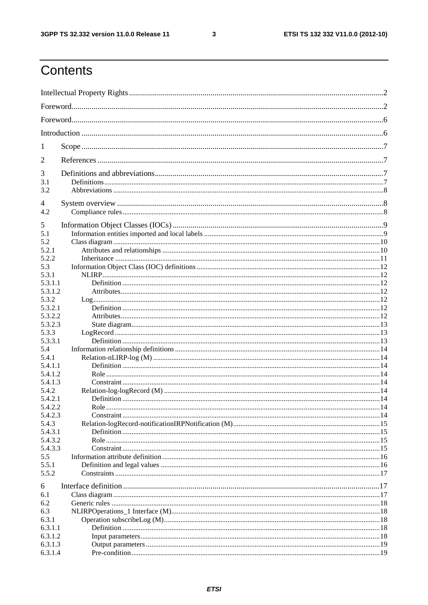$\mathbf{3}$ 

# Contents

| 1                  |  |
|--------------------|--|
| 2                  |  |
| 3                  |  |
| 3.1                |  |
| 3.2                |  |
| 4                  |  |
| 4.2                |  |
| 5                  |  |
| 5.1                |  |
| 5.2                |  |
| 5.2.1              |  |
| 5.2.2              |  |
| 5.3                |  |
| 5.3.1<br>5.3.1.1   |  |
| 5.3.1.2            |  |
| 5.3.2              |  |
| 5.3.2.1            |  |
| 5.3.2.2            |  |
| 5.3.2.3            |  |
| 5.3.3              |  |
| 5.3.3.1            |  |
| 5.4                |  |
| 5.4.1              |  |
| 5.4.1.1            |  |
| 5.4.1.2            |  |
| 5.4.1.3            |  |
| 5.4.2              |  |
| 5.4.2.1            |  |
| 5.4.2.2            |  |
| 5.4.2.3            |  |
| 5.4.3              |  |
| 5.4.3.1<br>5.4.3.2 |  |
| 5.4.3.3            |  |
| 5.5                |  |
| 5.5.1              |  |
| 5.5.2              |  |
|                    |  |
| 6                  |  |
| 6.1                |  |
| 6.2                |  |
| 6.3                |  |
| 6.3.1<br>6.3.1.1   |  |
| 6.3.1.2            |  |
| 6.3.1.3            |  |
| 6.3.1.4            |  |
|                    |  |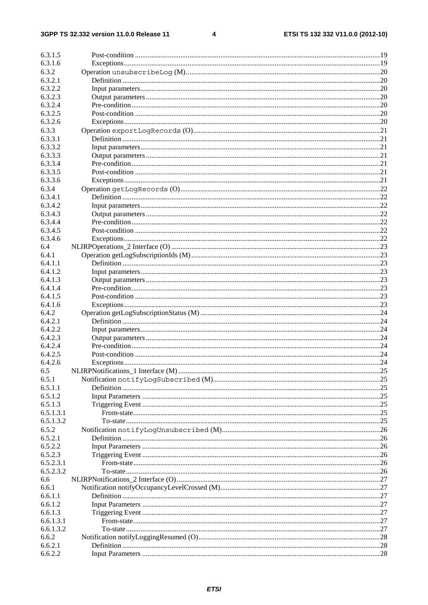#### $\overline{\mathbf{4}}$

| 6.3.1.5   |  |
|-----------|--|
| 6.3.1.6   |  |
| 6.3.2     |  |
| 6.3.2.1   |  |
| 6.3.2.2   |  |
| 6.3.2.3   |  |
| 6.3.2.4   |  |
| 6.3.2.5   |  |
| 6.3.2.6   |  |
| 6.3.3     |  |
| 6.3.3.1   |  |
| 6.3.3.2   |  |
| 6.3.3.3   |  |
| 6.3.3.4   |  |
| 6.3.3.5   |  |
| 6.3.3.6   |  |
| 6.3.4     |  |
| 6.3.4.1   |  |
| 6.3.4.2   |  |
| 6.3.4.3   |  |
| 6.3.4.4   |  |
| 6.3.4.5   |  |
|           |  |
| 6.3.4.6   |  |
| 6.4       |  |
| 6.4.1     |  |
| 6.4.1.1   |  |
| 6.4.1.2   |  |
| 6.4.1.3   |  |
| 6.4.1.4   |  |
| 6.4.1.5   |  |
| 6.4.1.6   |  |
| 6.4.2     |  |
| 6.4.2.1   |  |
| 6.4.2.2   |  |
| 6.4.2.3   |  |
| 6.4.2.4   |  |
| 6.4.2.5   |  |
| 6.4.2.6   |  |
| 6.5       |  |
| 6.5.1     |  |
| 6.5.1.1   |  |
| 6.5.1.2   |  |
| 6.5.1.3   |  |
| 6.5.1.3.1 |  |
| 6.5.1.3.2 |  |
| 6.5.2     |  |
| 6.5.2.1   |  |
| 6.5.2.2   |  |
| 6.5.2.3   |  |
| 6.5.2.3.1 |  |
| 6.5.2.3.2 |  |
| 6.6       |  |
| 6.6.1     |  |
| 6.6.1.1   |  |
| 6.6.1.2   |  |
| 6.6.1.3   |  |
| 6.6.1.3.1 |  |
| 6.6.1.3.2 |  |
| 6.6.2     |  |
| 6.6.2.1   |  |
| 6.6.2.2   |  |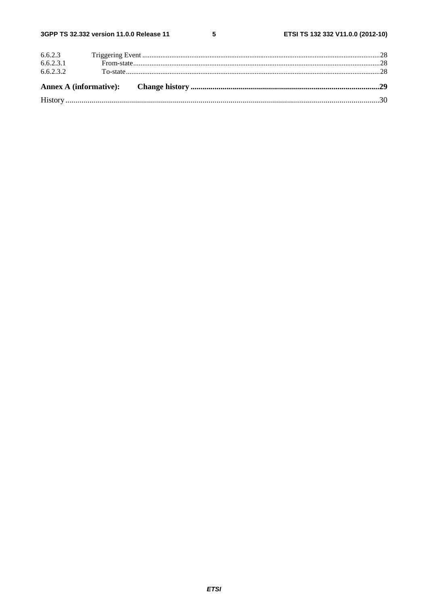$5\phantom{a}$ 

| 6.6.2.3   |  |  |
|-----------|--|--|
| 6.6.2.3.1 |  |  |
| 6.6.2.3.2 |  |  |
|           |  |  |
|           |  |  |
|           |  |  |
|           |  |  |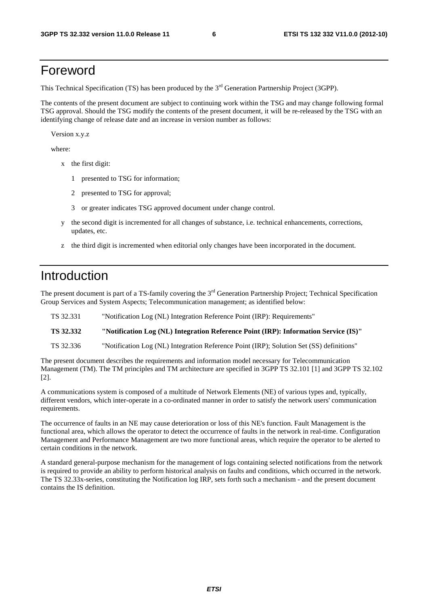# Foreword

This Technical Specification (TS) has been produced by the 3<sup>rd</sup> Generation Partnership Project (3GPP).

The contents of the present document are subject to continuing work within the TSG and may change following formal TSG approval. Should the TSG modify the contents of the present document, it will be re-released by the TSG with an identifying change of release date and an increase in version number as follows:

Version x.y.z

where:

- x the first digit:
	- 1 presented to TSG for information;
	- 2 presented to TSG for approval;
	- 3 or greater indicates TSG approved document under change control.
- y the second digit is incremented for all changes of substance, i.e. technical enhancements, corrections, updates, etc.
- z the third digit is incremented when editorial only changes have been incorporated in the document.

# Introduction

The present document is part of a TS-family covering the 3<sup>rd</sup> Generation Partnership Project; Technical Specification Group Services and System Aspects; Telecommunication management; as identified below:

TS 32.331 "Notification Log (NL) Integration Reference Point (IRP): Requirements"

**TS 32.332 "Notification Log (NL) Integration Reference Point (IRP): Information Service (IS)"**

TS 32.336 "Notification Log (NL) Integration Reference Point (IRP); Solution Set (SS) definitions"

The present document describes the requirements and information model necessary for Telecommunication Management (TM). The TM principles and TM architecture are specified in 3GPP TS 32.101 [1] and 3GPP TS 32.102 [2].

A communications system is composed of a multitude of Network Elements (NE) of various types and, typically, different vendors, which inter-operate in a co-ordinated manner in order to satisfy the network users' communication requirements.

The occurrence of faults in an NE may cause deterioration or loss of this NE's function. Fault Management is the functional area, which allows the operator to detect the occurrence of faults in the network in real-time. Configuration Management and Performance Management are two more functional areas, which require the operator to be alerted to certain conditions in the network.

A standard general-purpose mechanism for the management of logs containing selected notifications from the network is required to provide an ability to perform historical analysis on faults and conditions, which occurred in the network. The TS 32.33x-series, constituting the Notification log IRP, sets forth such a mechanism - and the present document contains the IS definition.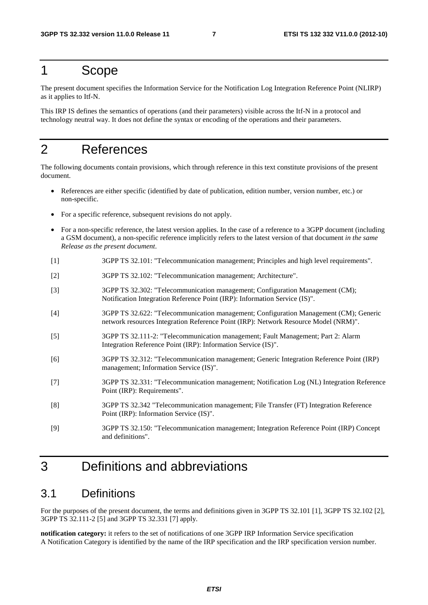# 1 Scope

The present document specifies the Information Service for the Notification Log Integration Reference Point (NLIRP) as it applies to Itf-N.

This IRP IS defines the semantics of operations (and their parameters) visible across the Itf-N in a protocol and technology neutral way. It does not define the syntax or encoding of the operations and their parameters.

# 2 References

The following documents contain provisions, which through reference in this text constitute provisions of the present document.

- References are either specific (identified by date of publication, edition number, version number, etc.) or non-specific.
- For a specific reference, subsequent revisions do not apply.
- For a non-specific reference, the latest version applies. In the case of a reference to a 3GPP document (including a GSM document), a non-specific reference implicitly refers to the latest version of that document *in the same Release as the present document*.
- [1] 3GPP TS 32.101: "Telecommunication management; Principles and high level requirements".
- [2] 3GPP TS 32.102: "Telecommunication management; Architecture".
- [3] 3GPP TS 32.302: "Telecommunication management; Configuration Management (CM); Notification Integration Reference Point (IRP): Information Service (IS)".
- [4] 3GPP TS 32.622: "Telecommunication management; Configuration Management (CM); Generic network resources Integration Reference Point (IRP): Network Resource Model (NRM)".
- [5] 3GPP TS 32.111-2: "Telecommunication management; Fault Management; Part 2: Alarm Integration Reference Point (IRP): Information Service (IS)".
- [6] 3GPP TS 32.312: "Telecommunication management; Generic Integration Reference Point (IRP) management; Information Service (IS)".
- [7] 3GPP TS 32.331: "Telecommunication management; Notification Log (NL) Integration Reference Point (IRP): Requirements".
- [8] 3GPP TS 32.342 "Telecommunication management; File Transfer (FT) Integration Reference Point (IRP): Information Service (IS)".
- [9] 3GPP TS 32.150: "Telecommunication management; Integration Reference Point (IRP) Concept and definitions".

# 3 Definitions and abbreviations

# 3.1 Definitions

For the purposes of the present document, the terms and definitions given in 3GPP TS 32.101 [1], 3GPP TS 32.102 [2], 3GPP TS 32.111-2 [5] and 3GPP TS 32.331 [7] apply.

**notification category:** it refers to the set of notifications of one 3GPP IRP Information Service specification A Notification Category is identified by the name of the IRP specification and the IRP specification version number.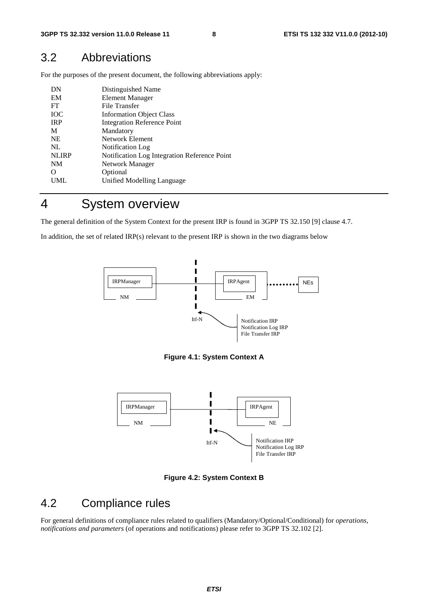# 3.2 Abbreviations

For the purposes of the present document, the following abbreviations apply:

| Distinguished Name                           |
|----------------------------------------------|
| <b>Element Manager</b>                       |
| File Transfer                                |
| <b>Information Object Class</b>              |
| <b>Integration Reference Point</b>           |
| Mandatory                                    |
| Network Element                              |
| Notification Log                             |
| Notification Log Integration Reference Point |
| Network Manager                              |
| Optional                                     |
| Unified Modelling Language                   |
|                                              |

# 4 System overview

The general definition of the System Context for the present IRP is found in 3GPP TS 32.150 [9] clause 4.7.

In addition, the set of related IRP(s) relevant to the present IRP is shown in the two diagrams below



**Figure 4.1: System Context A** 



**Figure 4.2: System Context B** 

# 4.2 Compliance rules

For general definitions of compliance rules related to qualifiers (Mandatory/Optional/Conditional) for *operations*, *notifications and parameters* (of operations and notifications) please refer to 3GPP TS 32.102 [2].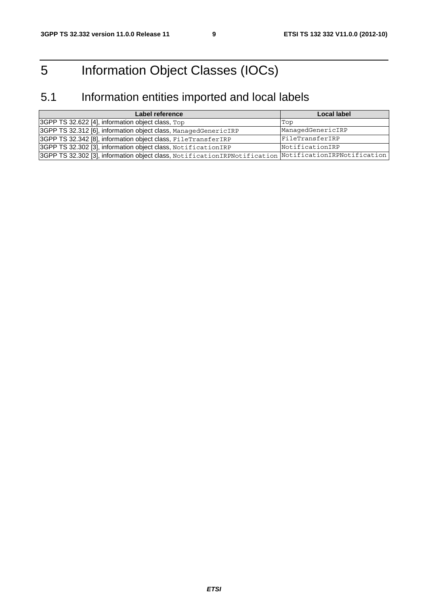# 5 Information Object Classes (IOCs)

# 5.1 Information entities imported and local labels

| Label reference                                                                                       | <b>Local label</b> |
|-------------------------------------------------------------------------------------------------------|--------------------|
| 3GPP TS 32.622 [4], information object class, Top                                                     | Top                |
| 3GPP TS 32.312 [6], information object class, ManagedGenericIRP                                       | ManagedGenericIRP  |
| 3GPP TS 32.342 [8], information object class, FileTransferIRP                                         | FileTransferIRP    |
| 3GPP TS 32.302 [3], information object class, NotificationIRP                                         | NotificationIRP    |
| 3GPP TS 32.302 [3], information object class, NotificationIRPNotification NotificationIRPNotification |                    |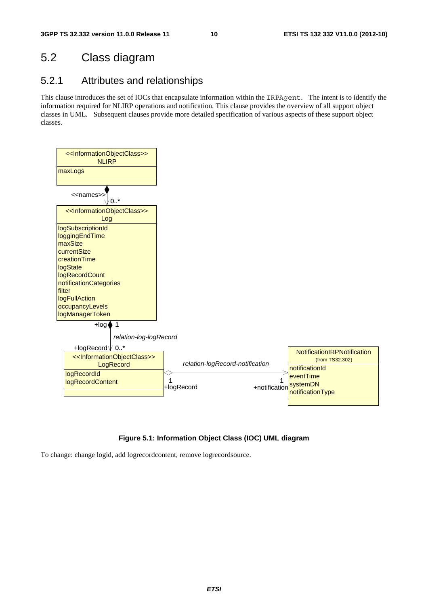# 5.2 Class diagram

# 5.2.1 Attributes and relationships

This clause introduces the set of IOCs that encapsulate information within the IRPAgent. The intent is to identify the information required for NLIRP operations and notification. This clause provides the overview of all support object classes in UML. Subsequent clauses provide more detailed specification of various aspects of these support object classes.



#### **Figure 5.1: Information Object Class (IOC) UML diagram**

To change: change logid, add logrecordcontent, remove logrecordsource.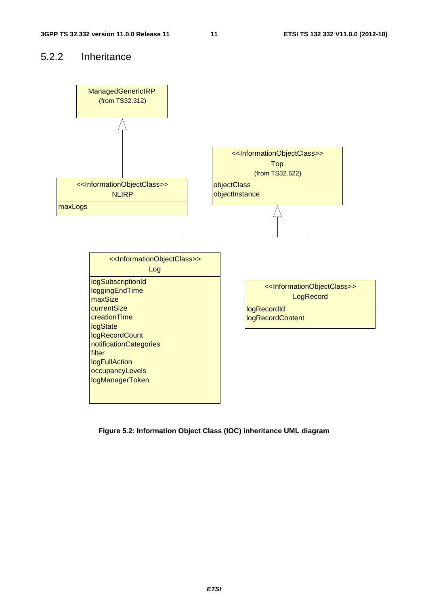# 5.2.2 Inheritance



**Figure 5.2: Information Object Class (IOC) inheritance UML diagram**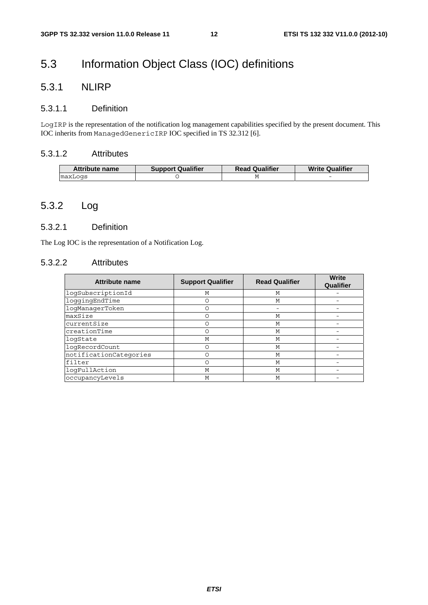# 5.3 Information Object Class (IOC) definitions

# 5.3.1 NLIRP

#### 5.3.1.1 Definition

LogIRP is the representation of the notification log management capabilities specified by the present document. This IOC inherits from ManagedGenericIRP IOC specified in TS 32.312 [6].

### 5.3.1.2 Attributes

| <b>Attribute name</b> | <b>Support Qualifier</b> | <b>Read Qualifier</b> | <b>Write Qualifier</b> |
|-----------------------|--------------------------|-----------------------|------------------------|
| maxLogs               |                          |                       | -                      |

## 5.3.2 Log

#### 5.3.2.1 Definition

The Log IOC is the representation of a Notification Log.

#### 5.3.2.2 Attributes

| <b>Attribute name</b>  | <b>Support Qualifier</b> | <b>Read Qualifier</b> | <b>Write</b><br>Qualifier |
|------------------------|--------------------------|-----------------------|---------------------------|
| logSubscriptionId      | М                        | M                     |                           |
| loggingEndTime         | Ο                        | М                     |                           |
| loqManaqerToken        |                          |                       |                           |
| maxSize                | ∩                        | М                     |                           |
| currentSize            | Ο                        | М                     |                           |
| creationTime           | Ω                        | M                     |                           |
| logState               | М                        | М                     |                           |
| logRecordCount         | Ω                        | M                     |                           |
| notificationCategories |                          | M                     |                           |
| filter                 | Ω                        | М                     |                           |
| loqFullAction          | M                        | M                     |                           |
| occupancyLevels        | M                        | M                     |                           |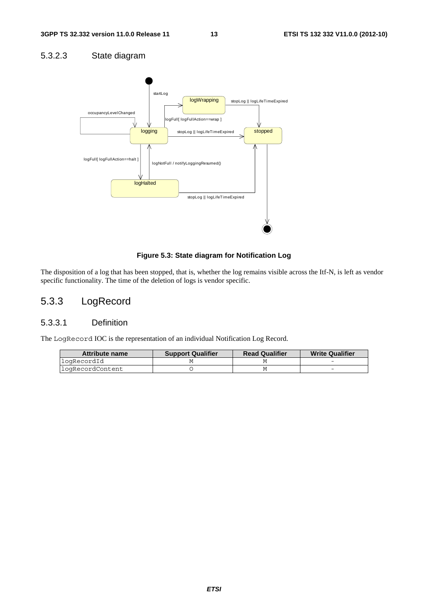### 5.3.2.3 State diagram



#### **Figure 5.3: State diagram for Notification Log**

The disposition of a log that has been stopped, that is, whether the log remains visible across the Itf-N, is left as vendor specific functionality. The time of the deletion of logs is vendor specific.

# 5.3.3 LogRecord

### 5.3.3.1 Definition

The LogRecord IOC is the representation of an individual Notification Log Record.

| Attribute name    | <b>Support Qualifier</b> | <b>Read Qualifier</b> | <b>Write Qualifier</b> |
|-------------------|--------------------------|-----------------------|------------------------|
| logRecordId       |                          |                       |                        |
| llogRecordContent |                          |                       |                        |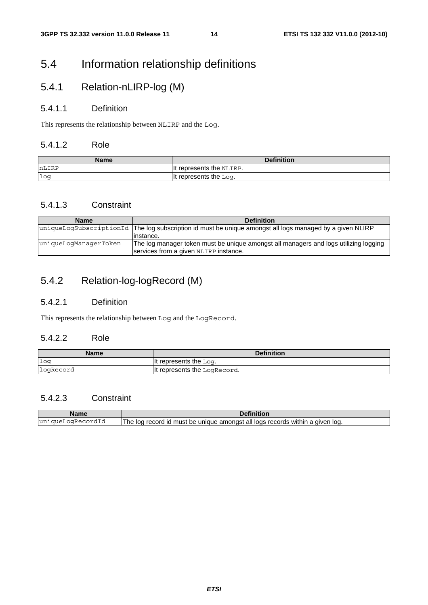# 5.4 Information relationship definitions

# 5.4.1 Relation-nLIRP-log (M)

### 5.4.1.1 Definition

This represents the relationship between NLIRP and the Log.

#### 5.4.1.2 Role

| Name  | <b>Definition</b>        |
|-------|--------------------------|
| nLIRP | It represents the NLIRP. |
| log   | t represents the Log.    |

### 5.4.1.3 Constraint

| <b>Name</b>           | <b>Definition</b>                                                                                                             |
|-----------------------|-------------------------------------------------------------------------------------------------------------------------------|
|                       | uniqueLogSubscriptionId The log subscription id must be unique amongst all logs managed by a given NLIRP                      |
|                       | linstance.                                                                                                                    |
| uniqueLoqManaqerToken | The log manager token must be unique amongst all managers and logs utilizing logging<br>services from a given NLIRP instance. |

# 5.4.2 Relation-log-logRecord (M)

### 5.4.2.1 Definition

This represents the relationship between Log and the LogRecord.

### 5.4.2.2 Role

| <b>Name</b> | <b>Definition</b>            |
|-------------|------------------------------|
| $1$ oq      | It represents the $Log.$     |
| logRecord   | It represents the LogRecord. |

### 5.4.2.3 Constraint

| Name              | Definition                                                                                     |
|-------------------|------------------------------------------------------------------------------------------------|
| uniqueLoqRecordId | vithin a given log.<br>The log record id must<br>amongst<br>! loas records<br>all<br>be unique |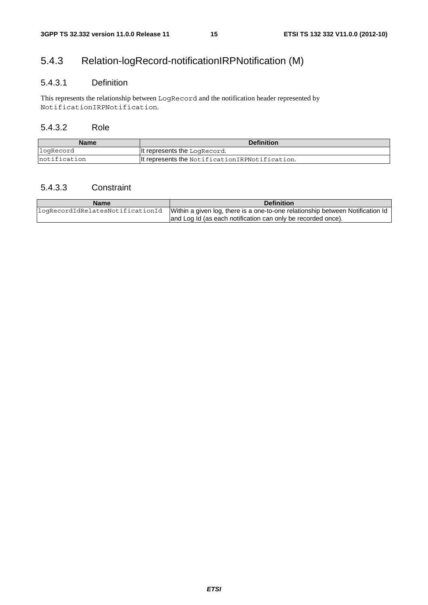# 5.4.3 Relation-logRecord-notificationIRPNotification (M)

### 5.4.3.1 Definition

This represents the relationship between LogRecord and the notification header represented by NotificationIRPNotification.

### 5.4.3.2 Role

| Name          | <b>Definition</b>                               |
|---------------|-------------------------------------------------|
| logRecord     | It represents the LogRecord.                    |
| Inotification | It represents the Notification IRPNotification. |

### 5.4.3.3 Constraint

| <b>Name</b>                      | <b>Definition</b>                                                              |
|----------------------------------|--------------------------------------------------------------------------------|
| logRecordIdRelatesNotificationId | Within a given log, there is a one-to-one relationship between Notification Id |
|                                  | and Log Id (as each notification can only be recorded once).                   |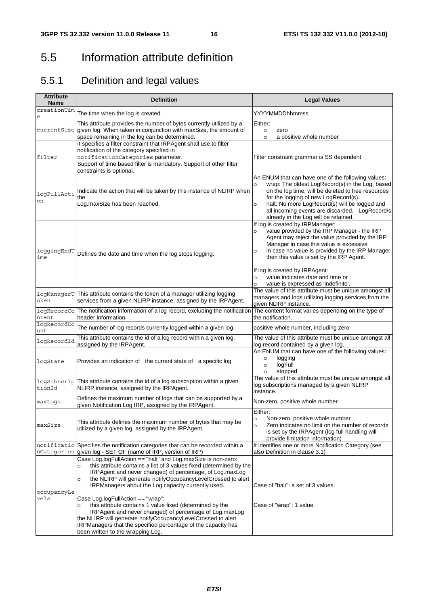# 5.5 Information attribute definition

# 5.5.1 Definition and legal values

| <b>Attribute</b><br><b>Name</b> | <b>Definition</b>                                                                                                                                                                                                                                                                                                                                                                                                                                                                                                                                                                                                             | <b>Legal Values</b>                                                                                                                                                                                                                                                                                                                                                                                                            |  |
|---------------------------------|-------------------------------------------------------------------------------------------------------------------------------------------------------------------------------------------------------------------------------------------------------------------------------------------------------------------------------------------------------------------------------------------------------------------------------------------------------------------------------------------------------------------------------------------------------------------------------------------------------------------------------|--------------------------------------------------------------------------------------------------------------------------------------------------------------------------------------------------------------------------------------------------------------------------------------------------------------------------------------------------------------------------------------------------------------------------------|--|
| creationTim                     | The time when the log is created.                                                                                                                                                                                                                                                                                                                                                                                                                                                                                                                                                                                             | YYYYMMDDhhmmss                                                                                                                                                                                                                                                                                                                                                                                                                 |  |
|                                 | This attribute provides the number of bytes currently utilized by a<br>currentSize given log. When taken in conjunction with maxSize, the amount of<br>space remaining in the log can be determined.                                                                                                                                                                                                                                                                                                                                                                                                                          | Either:<br>$\circ$<br>zero<br>a positive whole number<br>$\circ$                                                                                                                                                                                                                                                                                                                                                               |  |
| filter                          | It specifies a filter constraint that IRPAgent shall use to filter<br>notification of the category specified in<br>notificationCategories parameter.<br>Support of time based filter is mandatory. Support of other filter<br>constraints is optional.                                                                                                                                                                                                                                                                                                                                                                        | Filter constraint grammar is SS dependent                                                                                                                                                                                                                                                                                                                                                                                      |  |
| logFullActi<br>on               | Indicate the action that will be taken by this instance of NLIRP when<br>the<br>Log.maxSize has been reached.                                                                                                                                                                                                                                                                                                                                                                                                                                                                                                                 | An ENUM that can have one of the following values:<br>wrap: The oldest LogRecord(s) in the Log, based<br>$\circ$<br>on the log time, will be deleted to free resources<br>for the logging of new LogRecord(s).<br>halt: No more LogRecord(s) will be logged and<br>$\circ$<br>all incoming events are discarded. LogRecord/s<br>already in the Log will be retained.                                                           |  |
| loggingEndT<br>ime              | Defines the date and time when the log stops logging.                                                                                                                                                                                                                                                                                                                                                                                                                                                                                                                                                                         | If log is created by IRPManager:<br>value provided by the IRP Manager - the IRP<br>$\circ$<br>Agent may reject the value provided by the IRP<br>Manager in case this value is excessive<br>in case no value is provided by the IRP Manager<br>O<br>then this value is set by the IRP Agent.<br>If log is created by IRPAgent:<br>value indicates date and time or<br>$\circ$<br>value is expressed as 'indefinite'.<br>$\circ$ |  |
| oken                            | logManagerT This attribute contains the token of a manager utilizing logging<br>services from a given NLIRP instance, assigned by the IRPAgent.                                                                                                                                                                                                                                                                                                                                                                                                                                                                               | The value of this attribute must be unique amongst all<br>managers and logs utilizing logging services from the<br>given NLIRP instance.                                                                                                                                                                                                                                                                                       |  |
| ntent                           | logRecordCo The notification information of a log record, excluding the notification<br>header information.                                                                                                                                                                                                                                                                                                                                                                                                                                                                                                                   | The content format varies depending on the type of<br>the notification.                                                                                                                                                                                                                                                                                                                                                        |  |
| logRecordCo<br>unt              | The number of log records currently logged within a given log.                                                                                                                                                                                                                                                                                                                                                                                                                                                                                                                                                                | positive whole number, including zero                                                                                                                                                                                                                                                                                                                                                                                          |  |
| logRecordId                     | This attribute contains the id of a log record within a given log,<br>assigned by the IRPAgent.                                                                                                                                                                                                                                                                                                                                                                                                                                                                                                                               | The value of this attribute must be unique amongst all<br>log record contained by a given log.                                                                                                                                                                                                                                                                                                                                 |  |
| logState                        | Provides an indication of the current state of a specific log                                                                                                                                                                                                                                                                                                                                                                                                                                                                                                                                                                 | An ENUM that can have one of the following values:<br>logging<br>$\circ$<br>logFull<br>$\circ$<br>stopped<br>$\circ$                                                                                                                                                                                                                                                                                                           |  |
| tionId                          | logSubscrip This attribute contains the id of a log subscription within a given<br>NLIRP instance, assigned by the IRPAgent.                                                                                                                                                                                                                                                                                                                                                                                                                                                                                                  | The value of this attribute must be unique amongst all<br>log subscriptions managed by a given NLIRP<br>instance.                                                                                                                                                                                                                                                                                                              |  |
| maxLogs                         | Defines the maximum number of logs that can be supported by a<br>given Notification Log IRP, assigned by the IRPAgent.                                                                                                                                                                                                                                                                                                                                                                                                                                                                                                        | Non-zero, positive whole number                                                                                                                                                                                                                                                                                                                                                                                                |  |
| maxSize                         | This attribute defines the maximum number of bytes that may be<br>utilized by a given log, assigned by the IRPAgent.                                                                                                                                                                                                                                                                                                                                                                                                                                                                                                          | Either:<br>Non-zero, positive whole number<br>$\circ$<br>Zero indicates no limit on the number of records<br>$\circ$<br>is set by the IRPAgent (log full handling will<br>provide limitation information)                                                                                                                                                                                                                      |  |
|                                 | notificatio Specifies the notification categories that can be recorded within a<br>nCategories given log - SET OF (name of IRP, version of IRP)                                                                                                                                                                                                                                                                                                                                                                                                                                                                               | It identifies one or more Notification Category (see<br>also Definition in clause 3.1)                                                                                                                                                                                                                                                                                                                                         |  |
| occupancyLe<br>vels             | Case Log.logFullAction == "halt" and Log.maxSize is non-zero:<br>this attribute contains a list of 3 values fixed (determined by the<br>O<br>IRPAgent and never changed) of percentage, of Log.maxLog<br>the NLIRP will generate notifyOccupancyLevelCrossed to alert<br>O<br>IRPManagers about the Log capacity currently used.<br>Case Log.logFullAction == "wrap":<br>this attribute contains 1 value fixed (determined by the<br>IRPAgent and never changed) of percentage of Log.maxLog<br>the NLIRP will generate notifyOccupancyLevelCrossed to alert<br>IRPManagers that the specified percentage of the capacity has | Case of "halt": a set of 3 values.<br>Case of "wrap": 1 value.                                                                                                                                                                                                                                                                                                                                                                 |  |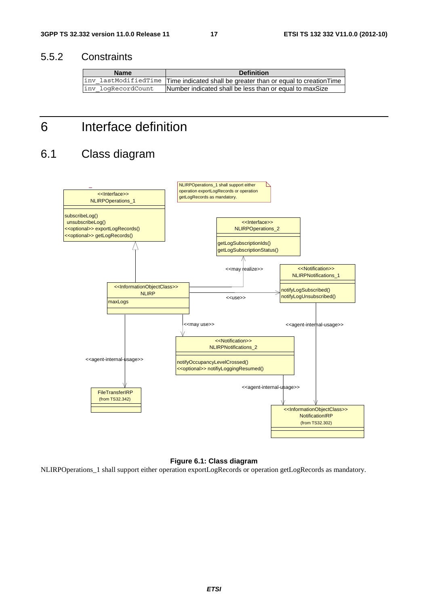# 5.5.2 Constraints

| <b>Name</b>        | <b>Definition</b>                                                                  |
|--------------------|------------------------------------------------------------------------------------|
|                    | inv_lastModifiedTime Time indicated shall be greater than or equal to creationTime |
| inv logRecordCount | Number indicated shall be less than or equal to maxSize                            |

# 6 Interface definition

# 6.1 Class diagram



#### **Figure 6.1: Class diagram**

NLIRPOperations\_1 shall support either operation exportLogRecords or operation getLogRecords as mandatory.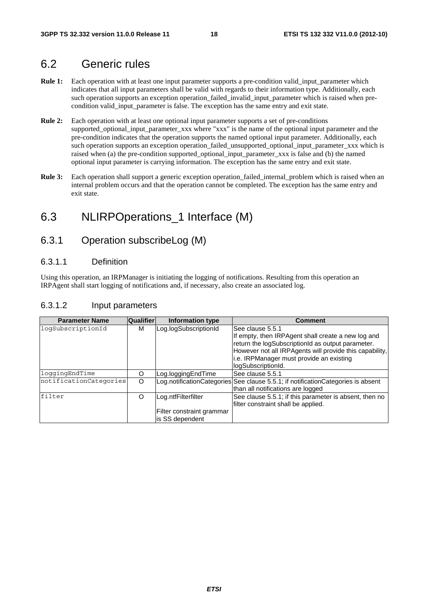# 6.2 Generic rules

- **Rule 1:** Each operation with at least one input parameter supports a pre-condition valid\_input\_parameter which indicates that all input parameters shall be valid with regards to their information type. Additionally, each such operation supports an exception operation\_failed\_invalid\_input\_parameter which is raised when precondition valid\_input\_parameter is false. The exception has the same entry and exit state.
- **Rule 2:** Each operation with at least one optional input parameter supports a set of pre-conditions supported\_optional\_input\_parameter\_xxx where "xxx" is the name of the optional input parameter and the pre-condition indicates that the operation supports the named optional input parameter. Additionally, each such operation supports an exception operation\_failed\_unsupported\_optional\_input\_parameter\_xxx which is raised when (a) the pre-condition supported\_optional\_input\_parameter\_xxx is false and (b) the named optional input parameter is carrying information. The exception has the same entry and exit state.
- **Rule 3:** Each operation shall support a generic exception operation\_failed\_internal\_problem which is raised when an internal problem occurs and that the operation cannot be completed. The exception has the same entry and exit state.

# 6.3 NLIRPOperations\_1 Interface (M)

## 6.3.1 Operation subscribeLog (M)

#### 6.3.1.1 Definition

Using this operation, an IRPManager is initiating the logging of notifications. Resulting from this operation an IRPAgent shall start logging of notifications and, if necessary, also create an associated log.

### 6.3.1.2 Input parameters

| <b>Parameter Name</b>  | <b>Qualifier</b> | Information type          | <b>Comment</b>                                                                   |
|------------------------|------------------|---------------------------|----------------------------------------------------------------------------------|
| loqSubscriptionId      | м                | Log.logSubscriptionId     | lSee clause 5.5.1                                                                |
|                        |                  |                           | If empty, then IRPAgent shall create a new log and                               |
|                        |                  |                           | return the logSubscriptionId as output parameter.                                |
|                        |                  |                           | However not all IRPAgents will provide this capability,                          |
|                        |                  |                           | i.e. IRPManager must provide an existing                                         |
|                        |                  |                           | logSubscriptionId.                                                               |
| loqqinqEndTime         | 0                | Log.loggingEndTime        | See clause 5.5.1                                                                 |
| notificationCategories | $\Omega$         |                           | Log.notificationCategories See clause 5.5.1; if notificationCategories is absent |
|                        |                  |                           | than all notifications are logged                                                |
| filter                 | O                | Log.ntfFilterfilter       | See clause 5.5.1; if this parameter is absent, then no                           |
|                        |                  |                           | filter constraint shall be applied.                                              |
|                        |                  | Filter constraint grammar |                                                                                  |
|                        |                  | lis SS dependent          |                                                                                  |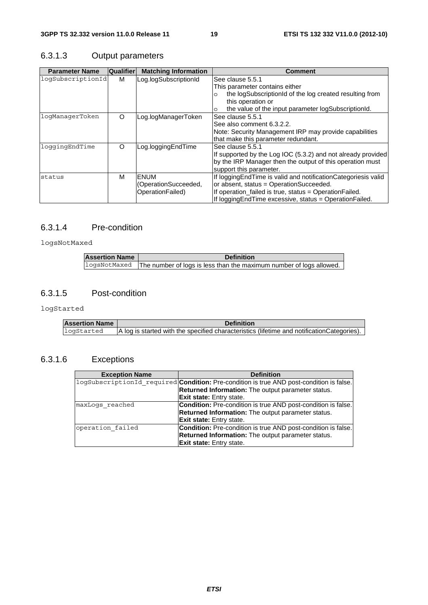# 6.3.1.3 Output parameters

| <b>Parameter Name</b> | Qualifier | <b>Matching Information</b>                             | Comment                                                                                                                                                                                                                            |
|-----------------------|-----------|---------------------------------------------------------|------------------------------------------------------------------------------------------------------------------------------------------------------------------------------------------------------------------------------------|
| logSubscriptionId     | м         | Log.logSubscriptionId                                   | See clause 5.5.1<br>This parameter contains either<br>the logSubscriptionId of the log created resulting from<br>O<br>this operation or<br>the value of the input parameter logSubscriptionId.<br>O                                |
| logManagerToken       | $\circ$   | Log.logManagerToken                                     | See clause 5.5.1<br>See also comment 6.3.2.2.<br>Note: Security Management IRP may provide capabilities<br>that make this parameter redundant.                                                                                     |
| loqqinqEndTime        | $\circ$   | Log.loggingEndTime                                      | See clause 5.5.1<br>If supported by the Log IOC (5.3.2) and not already provided<br>by the IRP Manager then the output of this operation must<br>support this parameter.                                                           |
| status                | м         | <b>ENUM</b><br>(OperationSucceeded,<br>OperationFailed) | If logging End Time is valid and notification Categoriesis valid<br>or absent, status = OperationSucceeded.<br>If operation_failed is true, status = OperationFailed.<br>If logging End Time excessive, status = Operation Failed. |

### 6.3.1.4 Pre-condition

logsNotMaxed

| <b>Assertion Name</b> | <b>Definition</b>                                                                |
|-----------------------|----------------------------------------------------------------------------------|
|                       | logsNotMaxed The number of logs is less than the maximum number of logs allowed. |

### 6.3.1.5 Post-condition

logStarted

| <b>Assertion Name</b> | <b>Definition</b>                                                                           |
|-----------------------|---------------------------------------------------------------------------------------------|
| logStarted            | A log is started with the specified characteristics (lifetime and notification Categories). |

# 6.3.1.6 Exceptions

| <b>Exception Name</b> | <b>Definition</b>                                                                               |
|-----------------------|-------------------------------------------------------------------------------------------------|
|                       | logSubscriptionId required <b>Condition:</b> Pre-condition is true AND post-condition is false. |
|                       | <b>Returned Information:</b> The output parameter status.                                       |
|                       | <b>Exit state:</b> Entry state.                                                                 |
| maxLoqs reached       | <b>Condition:</b> Pre-condition is true AND post-condition is false.                            |
|                       | <b>Returned Information:</b> The output parameter status.                                       |
|                       | <b>Exit state:</b> Entry state.                                                                 |
| operation failed      | <b>Condition:</b> Pre-condition is true AND post-condition is false.                            |
|                       | <b>Returned Information:</b> The output parameter status.                                       |
|                       | <b>Exit state:</b> Entry state.                                                                 |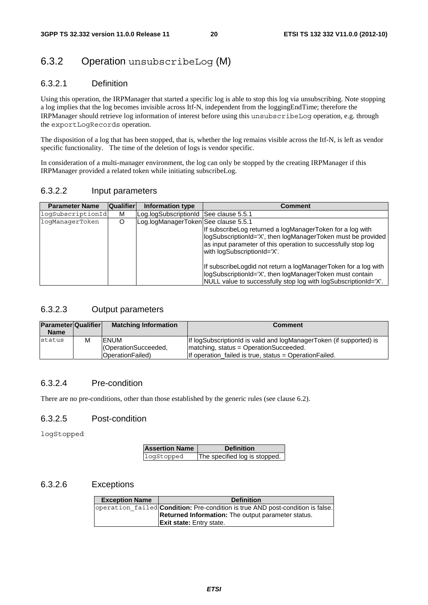# 6.3.2 Operation unsubscribeLog (M)

### 6.3.2.1 Definition

Using this operation, the IRPManager that started a specific log is able to stop this log via unsubscribing. Note stopping a log implies that the log becomes invisible across Itf-N, independent from the loggingEndTime; therefore the IRPManager should retrieve log information of interest before using this unsubscribeLog operation, e.g. through the exportLogRecords operation.

The disposition of a log that has been stopped, that is, whether the log remains visible across the Itf-N, is left as vendor specific functionality. The time of the deletion of logs is vendor specific.

In consideration of a multi-manager environment, the log can only be stopped by the creating IRPManager if this IRPManager provided a related token while initiating subscribeLog.

#### 6.3.2.2 Input parameters

| <b>Parameter Name</b> | <b>Qualifier</b> | Information type                       | <b>Comment</b>                                                                                                                                                                                                                                                                                                                                                                                                               |
|-----------------------|------------------|----------------------------------------|------------------------------------------------------------------------------------------------------------------------------------------------------------------------------------------------------------------------------------------------------------------------------------------------------------------------------------------------------------------------------------------------------------------------------|
| logSubscriptionId     | м                | Log.logSubscriptionId See clause 5.5.1 |                                                                                                                                                                                                                                                                                                                                                                                                                              |
| logManagerToken       | O                | Log.logManagerToken See clause 5.5.1   | If subscribe Log returned a logManager Token for a log with<br>logSubscriptionId='X', then logManagerToken must be provided<br>as input parameter of this operation to successfully stop log<br>with logSubscriptionId='X'.<br>If subscribeLogdid not return a logManagerToken for a log with<br>logSubscriptionId='X', then logManagerToken must contain<br>NULL value to successfully stop log with logSubscriptionId='X'. |

### 6.3.2.3 Output parameters

| <b>Parameter Qualifier</b> |   | <b>Matching Information</b>                       | <b>Comment</b>                                                                                                                                                            |
|----------------------------|---|---------------------------------------------------|---------------------------------------------------------------------------------------------------------------------------------------------------------------------------|
| <b>Name</b>                |   |                                                   |                                                                                                                                                                           |
| status                     | М | IENUM<br>CoperationSucceeded,<br>OperationFailed) | If logSubscriptionId is valid and logManagerToken (if supported) is<br>Imatching, status = OperationSucceeded.<br>If operation failed is true, status = Operation Failed. |

### 6.3.2.4 Pre-condition

There are no pre-conditions, other than those established by the generic rules (see clause 6.2).

### 6.3.2.5 Post-condition

logStopped

| <b>Assertion Name</b> | <b>Definition</b>             |
|-----------------------|-------------------------------|
| logStopped            | The specified log is stopped. |

#### 6.3.2.6 Exceptions

| <b>Exception Name</b> | <b>Definition</b>                                                                     |
|-----------------------|---------------------------------------------------------------------------------------|
|                       | operation failed <b>Condition:</b> Pre-condition is true AND post-condition is false. |
|                       | <b>Returned Information:</b> The output parameter status.                             |
|                       | <b>Exit state:</b> Entry state.                                                       |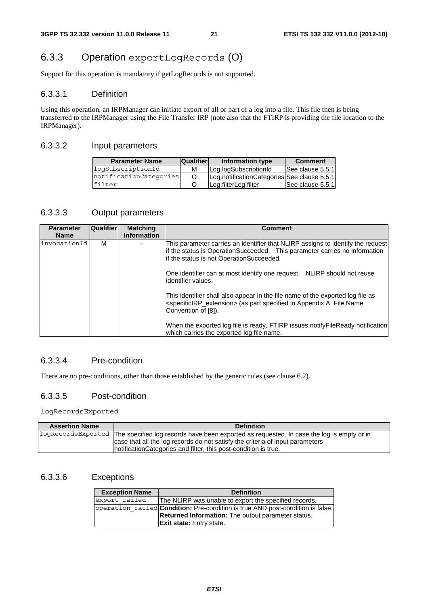# 6.3.3 Operation exportLogRecords (O)

Support for this operation is mandatory if getLogRecords is not supported.

#### 6.3.3.1 Definition

Using this operation, an IRPManager can initiate export of all or part of a log into a file. This file then is being transferred to the IRPManager using the File Transfer IRP (note also that the FTIRP is providing the file location to the IRPManager).

#### 6.3.3.2 Input parameters

| <b>Parameter Name</b>  | <b>Qualifier</b> | Information type                            | <b>Comment</b>   |
|------------------------|------------------|---------------------------------------------|------------------|
| logSubscriptionId      | м                | Log.logSubscriptionId                       | See clause 5.5.1 |
| notificationCategories |                  | Log.notificationCategories See clause 5.5.1 |                  |
| filter                 |                  | Log.filterLog.filter                        | See clause 5.5.1 |

#### 6.3.3.3 Output parameters

| <b>Parameter</b> | <b>Qualifier</b> | <b>Matching</b>    | <b>Comment</b>                                                                                                                                                                                                                                                                                                                           |
|------------------|------------------|--------------------|------------------------------------------------------------------------------------------------------------------------------------------------------------------------------------------------------------------------------------------------------------------------------------------------------------------------------------------|
| <b>Name</b>      |                  | <b>Information</b> |                                                                                                                                                                                                                                                                                                                                          |
| invocationId     | м                |                    | This parameter carries an identifier that NLIRP assigns to identify the request<br>If the status is OperationSucceeded. This parameter carries no information<br>if the status is not OperationSucceeded.<br>One identifier can at most identify one request. NLIRP should not reuse<br>lidentifier values.                              |
|                  |                  |                    | This identifier shall also appear in the file name of the exported log file as<br><specificirp_extension> (as part specified in Appendix A: File Name<br/>Convention of [8]).<br/>When the exported log file is ready, FTIRP issues notify File Ready notification<br/>which carries the exported log file name.</specificirp_extension> |

### 6.3.3.4 Pre-condition

There are no pre-conditions, other than those established by the generic rules (see clause 6.2).

#### 6.3.3.5 Post-condition

logRecordsExported

| <b>Assertion Name</b> | <b>Definition</b>                                                                                            |
|-----------------------|--------------------------------------------------------------------------------------------------------------|
|                       | logRecordsExported The specified log records have been exported as requested. In case the log is empty or in |
|                       | case that all the log records do not satisfy the criteria of input parameters                                |
|                       | Inotification Categories and filter, this post-condition is true.                                            |

#### 6.3.3.6 Exceptions

| <b>Exception Name</b> | <b>Definition</b>                                                                     |  |
|-----------------------|---------------------------------------------------------------------------------------|--|
| export failed         | The NLIRP was unable to export the specified records.                                 |  |
|                       | operation failed <b>Condition:</b> Pre-condition is true AND post-condition is false. |  |
|                       | <b>Returned Information:</b> The output parameter status.                             |  |
|                       | <b>Exit state:</b> Entry state.                                                       |  |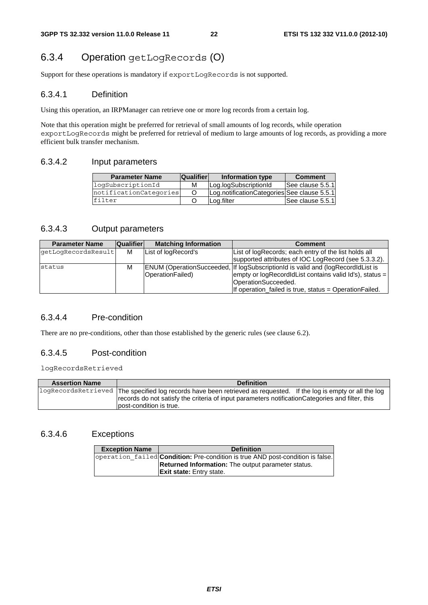# 6.3.4 Operation getLogRecords (O)

Support for these operations is mandatory if exportLogRecords is not supported.

#### 6.3.4.1 Definition

Using this operation, an IRPManager can retrieve one or more log records from a certain log.

Note that this operation might be preferred for retrieval of small amounts of log records, while operation exportLogRecords might be preferred for retrieval of medium to large amounts of log records, as providing a more efficient bulk transfer mechanism.

#### 6.3.4.2 Input parameters

| <b>Parameter Name</b>  | <b>Qualifier</b> | Information type                            | <b>Comment</b>   |
|------------------------|------------------|---------------------------------------------|------------------|
| logSubscriptionId      | м                | Log.logSubscriptionId                       | See clause 5.5.1 |
| notificationCategories |                  | Log.notificationCategories See clause 5.5.1 |                  |
| filter                 |                  | Log.filter                                  | See clause 5.5.1 |

### 6.3.4.3 Output parameters

| <b>Parameter Name</b> | Qualifier | <b>Matching Information</b> | <b>Comment</b>                                                                                                                                                                                                                          |
|-----------------------|-----------|-----------------------------|-----------------------------------------------------------------------------------------------------------------------------------------------------------------------------------------------------------------------------------------|
| qetLoqRecordsResult   | м         | List of logRecord's         | List of logRecords; each entry of the list holds all                                                                                                                                                                                    |
|                       |           |                             | supported attributes of IOC LogRecord (see 5.3.3.2).                                                                                                                                                                                    |
| <b>status</b>         | м         | OperationFailed)            | <b>ENUM (OperationSucceeded, If logSubscriptionId is valid and (logRecordIdList is</b><br>empty or $logRecordIdList$ contains valid $Id's$ ), status =<br>OperationSucceeded.<br>If operation_failed is true, status = OperationFailed. |

#### 6.3.4.4 Pre-condition

There are no pre-conditions, other than those established by the generic rules (see clause 6.2).

#### 6.3.4.5 Post-condition

logRecordsRetrieved

| <b>Assertion Name</b> | <b>Definition</b>                                                                                                                                                                                                                                 |
|-----------------------|---------------------------------------------------------------------------------------------------------------------------------------------------------------------------------------------------------------------------------------------------|
|                       | logRecordsRetrieved The specified log records have been retrieved as requested. If the log is empty or all the log<br>records do not satisfy the criteria of input parameters notification Categories and filter, this<br>post-condition is true. |

#### 6.3.4.6 Exceptions

| <b>Exception Name</b> | <b>Definition</b>                                                                      |
|-----------------------|----------------------------------------------------------------------------------------|
|                       | operation failed <b>Condition</b> : Pre-condition is true AND post-condition is false. |
|                       | <b>Returned Information:</b> The output parameter status.                              |
|                       | <b>Exit state:</b> Entry state.                                                        |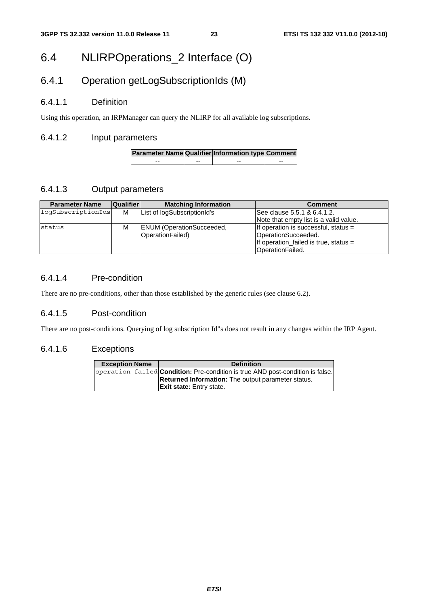# 6.4 NLIRPOperations\_2 Interface (O)

# 6.4.1 Operation getLogSubscriptionIds (M)

### 6.4.1.1 Definition

Using this operation, an IRPManager can query the NLIRP for all available log subscriptions.

### 6.4.1.2 Input parameters

| Parameter Name Qualifier Information type Comment |    |    |  |
|---------------------------------------------------|----|----|--|
| --                                                | -- | -- |  |

### 6.4.1.3 Output parameters

| <b>Parameter Name</b> | <b>Qualifier</b> | <b>Matching Information</b>      | <b>Comment</b>                          |
|-----------------------|------------------|----------------------------------|-----------------------------------------|
| logSubscriptionIds    | м                | List of logSubscriptionId's      | lSee clause 5.5.1 & 6.4.1.2.            |
|                       |                  |                                  | Note that empty list is a valid value.  |
| status                | M                | <b>ENUM</b> (OperationSucceeded, | If operation is successful, status =    |
|                       |                  | OperationFailed)                 | OperationSucceeded.                     |
|                       |                  |                                  | If operation failed is true, status $=$ |
|                       |                  |                                  | OperationFailed.                        |

### 6.4.1.4 Pre-condition

There are no pre-conditions, other than those established by the generic rules (see clause 6.2).

### 6.4.1.5 Post-condition

There are no post-conditions. Querying of log subscription Id"s does not result in any changes within the IRP Agent.

#### 6.4.1.6 Exceptions

| <b>Exception Name</b> | <b>Definition</b>                                                                     |
|-----------------------|---------------------------------------------------------------------------------------|
|                       | operation failed <b>Condition:</b> Pre-condition is true AND post-condition is false. |
|                       | <b>Returned Information:</b> The output parameter status.                             |
|                       | <b>Exit state:</b> Entry state.                                                       |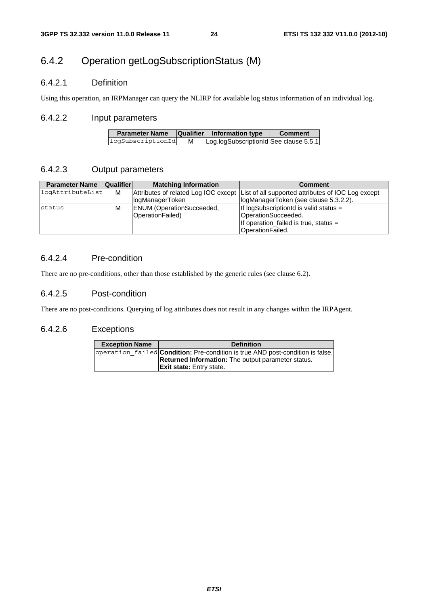# 6.4.2 Operation getLogSubscriptionStatus (M)

### 6.4.2.1 Definition

Using this operation, an IRPManager can query the NLIRP for available log status information of an individual log.

#### 6.4.2.2 Input parameters

| <b>Parameter Name</b> |   | <b>Qualifier</b> Information type      | <b>Comment</b> |
|-----------------------|---|----------------------------------------|----------------|
| logSubscriptionId     | м | Log.logSubscriptionId See clause 5.5.1 |                |

### 6.4.2.3 Output parameters

| <b>Parameter Name</b> | <b>Qualifier</b> | <b>Matching Information</b>      | <b>Comment</b>                                                                          |
|-----------------------|------------------|----------------------------------|-----------------------------------------------------------------------------------------|
| logAttributeList      | M                |                                  | Attributes of related Log IOC except List of all supported attributes of IOC Log except |
|                       |                  | logManagerToken                  | logManagerToken (see clause 5.3.2.2).                                                   |
| status                | M                | <b>ENUM</b> (OperationSucceeded, | If logSubscriptionId is valid status $=$                                                |
|                       |                  | OperationFailed)                 | OperationSucceeded.                                                                     |
|                       |                  |                                  | If operation_failed is true, status =                                                   |
|                       |                  |                                  | OperationFailed.                                                                        |

### 6.4.2.4 Pre-condition

There are no pre-conditions, other than those established by the generic rules (see clause 6.2).

#### 6.4.2.5 Post-condition

There are no post-conditions. Querying of log attributes does not result in any changes within the IRPAgent.

### 6.4.2.6 Exceptions

| <b>Exception Name</b> | <b>Definition</b>                                                                     |
|-----------------------|---------------------------------------------------------------------------------------|
|                       | operation failed <b>Condition:</b> Pre-condition is true AND post-condition is false. |
|                       | <b>Returned Information:</b> The output parameter status.                             |
|                       | <b>Exit state:</b> Entry state.                                                       |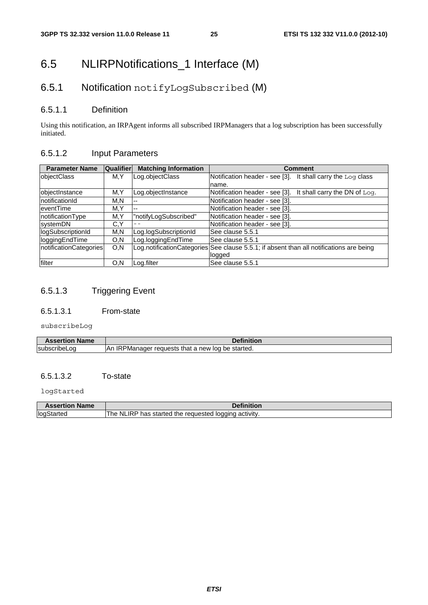# 6.5 NLIRPNotifications\_1 Interface (M)

# 6.5.1 Notification notifyLogSubscribed (M)

### 6.5.1.1 Definition

Using this notification, an IRPAgent informs all subscribed IRPManagers that a log subscription has been successfully initiated.

### 6.5.1.2 Input Parameters

| <b>Parameter Name</b>  | Qualifier | <b>Matching Information</b> | <b>Comment</b>                                                |
|------------------------|-----------|-----------------------------|---------------------------------------------------------------|
| <b>objectClass</b>     | M.Y       | Log.objectClass             | Notification header - see [3]. It shall carry the $Log$ class |
|                        |           |                             | name.                                                         |
| objectInstance         | M,Y       | Log.objectInstance          | Notification header - see [3]. It shall carry the DN of Log.  |
| notificationId         | M.N       | $- -$                       | Notification header - see [3].                                |
| eventTime              | M.Y       | --                          | Notification header - see [3].                                |
| notificationType       | M,Y       | "notifyLogSubscribed"       | Notification header - see [3].                                |
| systemDN               | C.Y       |                             | Notification header - see [3].                                |
| logSubscriptionId      | M,N       | Log.logSubscriptionId       | See clause 5.5.1                                              |
| loggingEndTime         | O, N      | Log.loggingEndTime          | See clause 5.5.1                                              |
| notificationCategories | O, N      | Log.notificationCategories  | See clause 5.5.1; if absent than all notifications are being  |
|                        |           |                             | logged                                                        |
| filter                 | O.N       | Log.filter                  | See clause 5.5.1                                              |

# 6.5.1.3 Triggering Event

#### 6.5.1.3.1 From-state

subscribeLog

| <b>Name</b><br><b>Assertion</b> | <b>Pefinition</b>                                                           |
|---------------------------------|-----------------------------------------------------------------------------|
| subscribeLoa                    | <b>IRPManager</b><br>.An<br>be started.<br>that<br>a new<br>loa<br>requests |

### 6.5.1.3.2 To-state

logStarted

| <b>Assertion Name</b> | Definition                                            |
|-----------------------|-------------------------------------------------------|
| logStarted            | The NLIRP has started the requested logging activity. |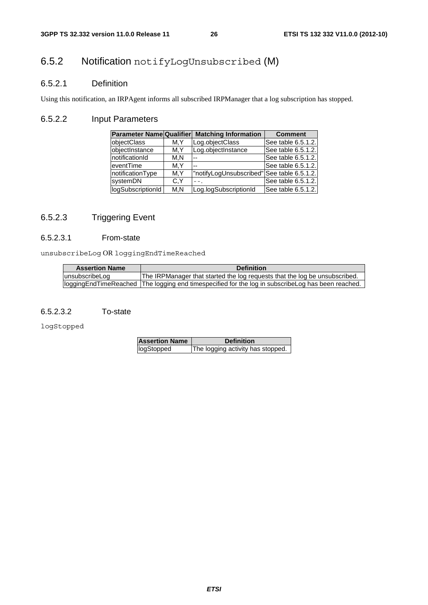# 6.5.2 Notification notifyLogUnsubscribed (M)

### 6.5.2.1 Definition

Using this notification, an IRPAgent informs all subscribed IRPManager that a log subscription has stopped.

### 6.5.2.2 Input Parameters

| <b>Parameter Name Qualifier</b> |      | <b>Matching Information</b>                | <b>Comment</b>     |
|---------------------------------|------|--------------------------------------------|--------------------|
| objectClass                     | M.Y  | Log.objectClass                            | See table 6.5.1.2. |
| objectInstance                  | M.Y  | Log.objectInstance                         | See table 6.5.1.2. |
| notificationId                  | M.N  |                                            | See table 6.5.1.2. |
| eventTime                       | M.Y  |                                            | See table 6.5.1.2. |
| notificationType                | M.Y  | "notifyLogUnsubscribed" See table 6.5.1.2. |                    |
| systemDN                        | C.Y  |                                            | See table 6.5.1.2. |
| logSubscriptionId               | M, N | Log.logSubscriptionId                      | See table 6.5.1.2. |

### 6.5.2.3 Triggering Event

#### 6.5.2.3.1 From-state

unsubscribeLog OR loggingEndTimeReached

| <b>Assertion Name</b> | <b>Definition</b>                                                                                     |
|-----------------------|-------------------------------------------------------------------------------------------------------|
| unsubscribeLog        | The IRPManager that started the log reguests that the log be unsubscribed.                            |
|                       | (loggingEndTimeReached   The logging end timespecified for the log in subscribeLog has been reached.) |

#### 6.5.2.3.2 To-state

logStopped

| <b>Assertion Name</b> | <b>Definition</b>                 |
|-----------------------|-----------------------------------|
| logStopped            | The logging activity has stopped. |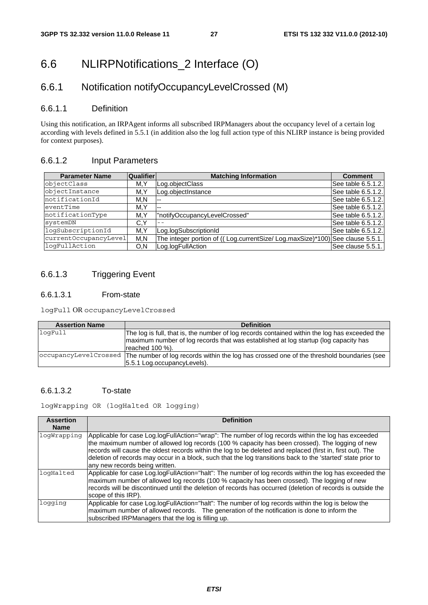# 6.6 NLIRPNotifications\_2 Interface (O)

# 6.6.1 Notification notifyOccupancyLevelCrossed (M)

#### 6.6.1.1 Definition

Using this notification, an IRPAgent informs all subscribed IRPManagers about the occupancy level of a certain log according with levels defined in 5.5.1 (in addition also the log full action type of this NLIRP instance is being provided for context purposes).

### 6.6.1.2 Input Parameters

| <b>Parameter Name</b> | <b>Qualifier</b> | <b>Matching Information</b>                                                  | <b>Comment</b>     |
|-----------------------|------------------|------------------------------------------------------------------------------|--------------------|
| objectClass           | M.Y              | Log.objectClass                                                              | See table 6.5.1.2. |
| objectInstance        | M.Y              | Log.objectInstance                                                           | See table 6.5.1.2. |
| notificationId        | M.N              | --                                                                           | See table 6.5.1.2. |
| eventTime             | M.Y              | $- -$                                                                        | See table 6.5.1.2. |
| notificationType      | M,Y              | "notifyOccupancyLevelCrossed"                                                | See table 6.5.1.2. |
| systemDN              | C.Y              |                                                                              | See table 6.5.1.2. |
| logSubscriptionId     | M.Y              | Log.logSubscriptionId                                                        | See table 6.5.1.2. |
| currentOccupancyLevel | M.N              | The integer portion of ((Log.currentSize/Log.maxSize)*100) See clause 5.5.1. |                    |
| logFullAction         | O.N              | Log.logFullAction                                                            | See clause 5.5.1.  |

## 6.6.1.3 Triggering Event

#### 6.6.1.3.1 From-state

logFull OR occupancyLevelCrossed

| <b>Assertion Name</b> | <b>Definition</b>                                                                                               |
|-----------------------|-----------------------------------------------------------------------------------------------------------------|
| logFull               | The log is full, that is, the number of log records contained within the log has exceeded the                   |
|                       | maximum number of log records that was established at log startup (log capacity has                             |
|                       | reached 100 %).                                                                                                 |
|                       | occupancyLevelCrossed The number of log records within the log has crossed one of the threshold boundaries (see |
|                       | 5.5.1 Log.occupancyLevels).                                                                                     |

#### 6.6.1.3.2 To-state

logWrapping OR (logHalted OR logging)

| <b>Assertion</b><br><b>Name</b> | <b>Definition</b>                                                                                                                                                                                                                                                                                                                                                                                                                                                      |
|---------------------------------|------------------------------------------------------------------------------------------------------------------------------------------------------------------------------------------------------------------------------------------------------------------------------------------------------------------------------------------------------------------------------------------------------------------------------------------------------------------------|
| logWrapping                     | Applicable for case Log.logFullAction="wrap": The number of log records within the log has exceeded<br>the maximum number of allowed log records (100 % capacity has been crossed). The logging of new<br>records will cause the oldest records within the log to be deleted and replaced (first in, first out). The<br>deletion of records may occur in a block, such that the log transitions back to the 'started' state prior to<br>any new records being written. |
| logHalted                       | Applicable for case Log.logFullAction="halt": The number of log records within the log has exceeded the<br>maximum number of allowed log records (100 % capacity has been crossed). The logging of new<br>records will be discontinued until the deletion of records has occurred (deletion of records is outside the<br>scope of this IRP).                                                                                                                           |
| logging                         | Applicable for case Log.logFullAction="halt": The number of log records within the log is below the<br>maximum number of allowed records. The generation of the notification is done to inform the<br>subscribed IRPManagers that the log is filling up.                                                                                                                                                                                                               |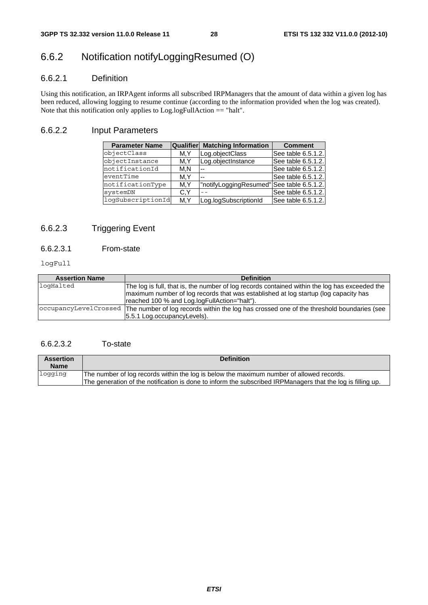# 6.6.2 Notification notifyLoggingResumed (O)

### 6.6.2.1 Definition

Using this notification, an IRPAgent informs all subscribed IRPManagers that the amount of data within a given log has been reduced, allowing logging to resume continue (according to the information provided when the log was created). Note that this notification only applies to Log.logFullAction == "halt".

### 6.6.2.2 Input Parameters

| <b>Parameter Name</b> | Qualifier | <b>Matching Information</b>               | <b>Comment</b>     |
|-----------------------|-----------|-------------------------------------------|--------------------|
| objectClass           | M.Y       | Log.objectClass                           | See table 6.5.1.2. |
| objectInstance        | M.Y       | Log.objectInstance                        | See table 6.5.1.2. |
| notificationId        | M, N      |                                           | See table 6.5.1.2. |
| eventTime             | M.Y       |                                           | See table 6.5.1.2. |
| notificationType      | M.Y       | "notifyLoggingResumed" See table 6.5.1.2. |                    |
| systemDN              | C.Y       |                                           | See table 6.5.1.2. |
| logSubscriptionId     | M.Y       | Log.logSubscriptionId                     | See table 6.5.1.2. |

# 6.6.2.3 Triggering Event

### 6.6.2.3.1 From-state

logFull

| <b>Assertion Name</b> | <b>Definition</b>                                                                                                                                                                                                                    |
|-----------------------|--------------------------------------------------------------------------------------------------------------------------------------------------------------------------------------------------------------------------------------|
| logHalted             | The log is full, that is, the number of log records contained within the log has exceeded the<br>maximum number of log records that was established at log startup (log capacity has<br>reached 100 % and Log.logFullAction="halt"). |
|                       | occupancyLevelCrossed   The number of log records within the log has crossed one of the threshold boundaries (see<br>5.5.1 Log.occupancyLevels).                                                                                     |

### 6.6.2.3.2 To-state

| <b>Assertion</b><br><b>Name</b> | <b>Definition</b>                                                                                                                                                                                       |
|---------------------------------|---------------------------------------------------------------------------------------------------------------------------------------------------------------------------------------------------------|
| loqqinq                         | The number of log records within the log is below the maximum number of allowed records.<br>The generation of the notification is done to inform the subscribed IRPManagers that the log is filling up. |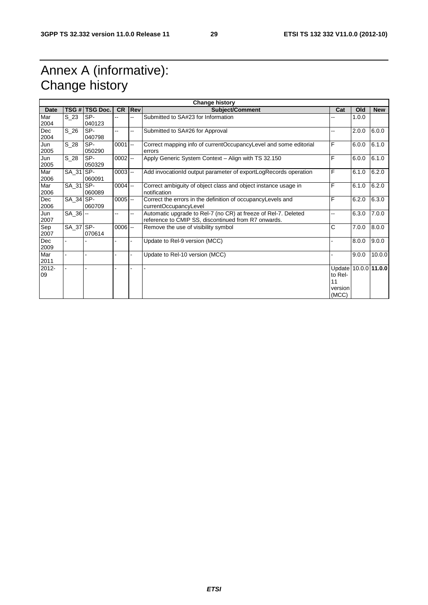# Annex A (informative): Change history

| <b>Change history</b> |             |                 |            |                |                                                                                                                       |                                                           |       |            |
|-----------------------|-------------|-----------------|------------|----------------|-----------------------------------------------------------------------------------------------------------------------|-----------------------------------------------------------|-------|------------|
| Date                  | TSG #       | <b>TSG Doc.</b> | <b>CR</b>  | Rev            | <b>Subject/Comment</b>                                                                                                | Cat                                                       | Old   | <b>New</b> |
| Mar<br>2004           | S 23        | SP-<br>040123   | .,         |                | Submitted to SA#23 for Information                                                                                    |                                                           | 1.0.0 |            |
| Dec<br>2004           | S 26        | SP-<br>040798   | Щ,         | Щ,             | Submitted to SA#26 for Approval<br>--                                                                                 |                                                           | 2.0.0 | 6.0.0      |
| Jun<br>2005           | $S_28$      | SP-<br>050290   | $0001$ --  |                | Correct mapping info of currentOccupancyLevel and some editorial<br>errors                                            | F                                                         | 6.0.0 | 6.1.0      |
| Jun<br>2005           | $S_28$      | SP-<br>050329   | $0002$ $-$ |                | Apply Generic System Context - Align with TS 32.150                                                                   | F                                                         | 6.0.0 | 6.1.0      |
| Mar<br>2006           | SA 31 SP-   | 060091          | $0003$ $-$ |                | Add invocationId output parameter of exportLogRecords operation                                                       | F                                                         | 6.1.0 | 6.2.0      |
| Mar<br>2006           | SA_31 SP-   | 060089          | $0004$ --  |                | Correct ambiguity of object class and object instance usage in<br>notification                                        | F                                                         | 6.1.0 | 6.2.0      |
| Dec<br>2006           | SA 34 SP-   | 060709          | $0005$ $-$ |                | Correct the errors in the definition of occupancyLevels and<br>currentOccupancyLevel                                  | F                                                         | 6.2.0 | 6.3.0      |
| Jun<br>2007           | $SA$ 36 $-$ |                 | --         | $\overline{a}$ | Automatic upgrade to Rel-7 (no CR) at freeze of Rel-7. Deleted<br>reference to CMIP SS, discontinued from R7 onwards. | ۵.                                                        | 6.3.0 | 7.0.0      |
| Sep<br>2007           | SA_37 SP-   | 070614          | $0006$ --  |                | Remove the use of visibility symbol                                                                                   | С                                                         | 7.0.0 | 8.0.0      |
| Dec<br>2009           |             |                 |            |                | Update to Rel-9 version (MCC)                                                                                         |                                                           | 8.0.0 | 9.0.0      |
| Mar<br>2011           |             |                 |            |                | Update to Rel-10 version (MCC)                                                                                        |                                                           | 9.0.0 | 10.0.0     |
| 2012-<br>09           |             |                 |            |                |                                                                                                                       | Update 10.0.0 11.0.0<br>to Rel-<br>11<br>version<br>(MCC) |       |            |